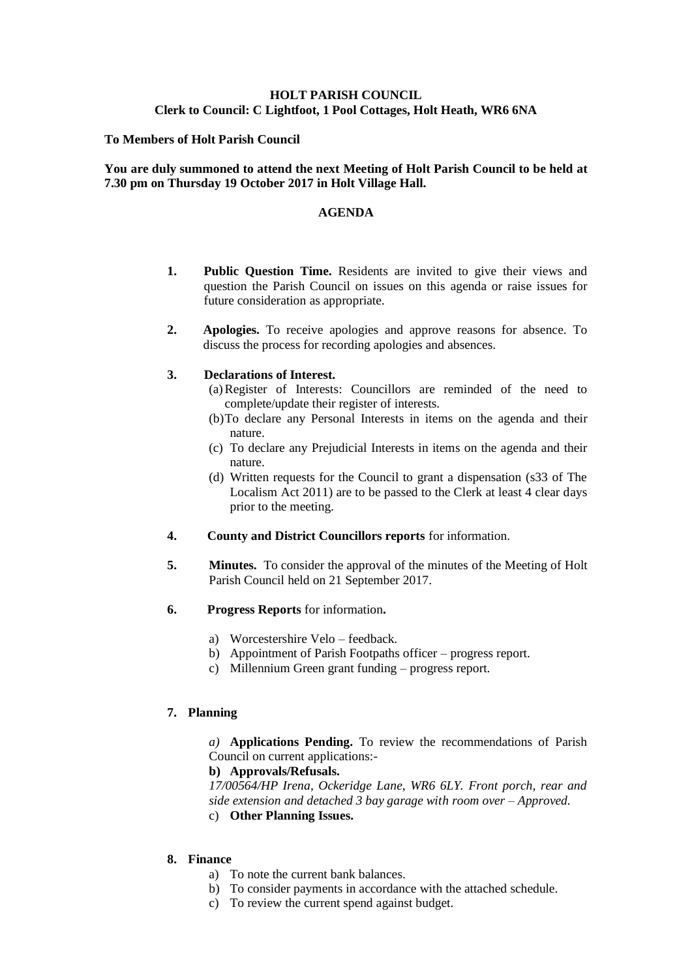# **HOLT PARISH COUNCIL Clerk to Council: C Lightfoot, 1 Pool Cottages, Holt Heath, WR6 6NA**

## **To Members of Holt Parish Council**

## **You are duly summoned to attend the next Meeting of Holt Parish Council to be held at 7.30 pm on Thursday 19 October 2017 in Holt Village Hall.**

### **AGENDA**

- **1. Public Question Time.** Residents are invited to give their views and question the Parish Council on issues on this agenda or raise issues for future consideration as appropriate.
- **2. Apologies.** To receive apologies and approve reasons for absence. To discuss the process for recording apologies and absences.

### **3. Declarations of Interest.**

- (a)Register of Interests: Councillors are reminded of the need to complete/update their register of interests.
- (b)To declare any Personal Interests in items on the agenda and their nature.
- (c) To declare any Prejudicial Interests in items on the agenda and their nature.
- (d) Written requests for the Council to grant a dispensation (s33 of The Localism Act 2011) are to be passed to the Clerk at least 4 clear days prior to the meeting.
- **4. County and District Councillors reports** for information.
- **5. Minutes.** To consider the approval of the minutes of the Meeting of Holt Parish Council held on 21 September 2017.
- **6. Progress Reports** for information**.**
	- a) Worcestershire Velo feedback.
	- b) Appointment of Parish Footpaths officer progress report.
	- c) Millennium Green grant funding progress report.

# **7. Planning**

*a)* **Applications Pending.** To review the recommendations of Parish Council on current applications:-

# **b) Approvals/Refusals.**

*17/00564/HP Irena, Ockeridge Lane, WR6 6LY. Front porch, rear and side extension and detached 3 bay garage with room over – Approved.* c) **Other Planning Issues.**

# **8. Finance**

- a) To note the current bank balances.
- b) To consider payments in accordance with the attached schedule.
- c) To review the current spend against budget.